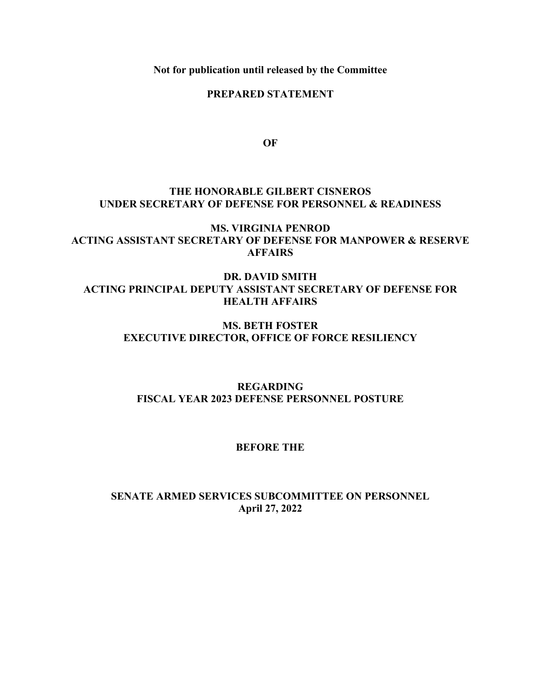**Not for publication until released by the Committee**

## **PREPARED STATEMENT**

**OF**

## **THE HONORABLE GILBERT CISNEROS UNDER SECRETARY OF DEFENSE FOR PERSONNEL & READINESS**

# **MS. VIRGINIA PENROD ACTING ASSISTANT SECRETARY OF DEFENSE FOR MANPOWER & RESERVE AFFAIRS**

# **DR. DAVID SMITH ACTING PRINCIPAL DEPUTY ASSISTANT SECRETARY OF DEFENSE FOR HEALTH AFFAIRS**

# **MS. BETH FOSTER EXECUTIVE DIRECTOR, OFFICE OF FORCE RESILIENCY**

# **REGARDING FISCAL YEAR 2023 DEFENSE PERSONNEL POSTURE**

## **BEFORE THE**

# **SENATE ARMED SERVICES SUBCOMMITTEE ON PERSONNEL April 27, 2022**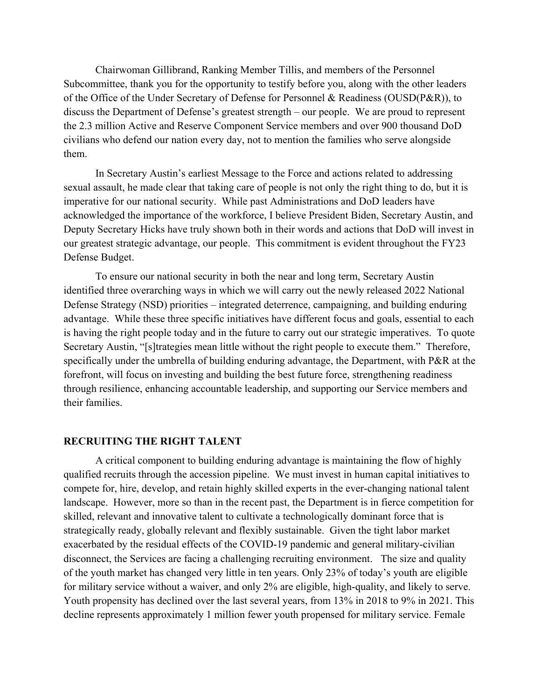Chairwoman Gillibrand, Ranking Member Tillis, and members of the Personnel Subcommittee, thank you for the opportunity to testify before you, along with the other leaders of the Office of the Under Secretary of Defense for Personnel & Readiness (OUSD(P&R)), to discuss the Department of Defense's greatest strength – our people. We are proud to represent the 2.3 million Active and Reserve Component Service members and over 900 thousand DoD civilians who defend our nation every day, not to mention the families who serve alongside them.

In Secretary Austin's earliest Message to the Force and actions related to addressing sexual assault, he made clear that taking care of people is not only the right thing to do, but it is imperative for our national security. While past Administrations and DoD leaders have acknowledged the importance of the workforce, I believe President Biden, Secretary Austin, and Deputy Secretary Hicks have truly shown both in their words and actions that DoD will invest in our greatest strategic advantage, our people. This commitment is evident throughout the FY23 Defense Budget.

To ensure our national security in both the near and long term, Secretary Austin identified three overarching ways in which we will carry out the newly released 2022 National Defense Strategy (NSD) priorities – integrated deterrence, campaigning, and building enduring advantage. While these three specific initiatives have different focus and goals, essential to each is having the right people today and in the future to carry out our strategic imperatives. To quote Secretary Austin, "[s]trategies mean little without the right people to execute them." Therefore, specifically under the umbrella of building enduring advantage, the Department, with P&R at the forefront, will focus on investing and building the best future force, strengthening readiness through resilience, enhancing accountable leadership, and supporting our Service members and their families.

### **RECRUITING THE RIGHT TALENT**

A critical component to building enduring advantage is maintaining the flow of highly qualified recruits through the accession pipeline. We must invest in human capital initiatives to compete for, hire, develop, and retain highly skilled experts in the ever-changing national talent landscape. However, more so than in the recent past, the Department is in fierce competition for skilled, relevant and innovative talent to cultivate a technologically dominant force that is strategically ready, globally relevant and flexibly sustainable. Given the tight labor market exacerbated by the residual effects of the COVID-19 pandemic and general military-civilian disconnect, the Services are facing a challenging recruiting environment. The size and quality of the youth market has changed very little in ten years. Only 23% of today's youth are eligible for military service without a waiver, and only 2% are eligible, high-quality, and likely to serve. Youth propensity has declined over the last several years, from 13% in 2018 to 9% in 2021. This decline represents approximately 1 million fewer youth propensed for military service. Female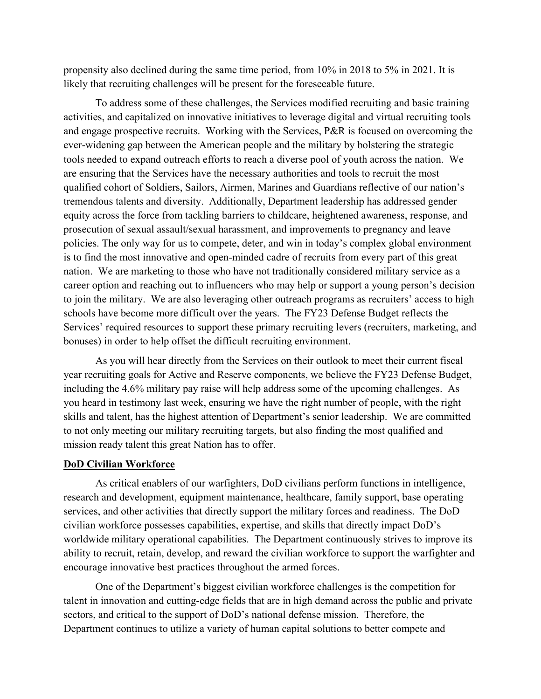propensity also declined during the same time period, from 10% in 2018 to 5% in 2021. It is likely that recruiting challenges will be present for the foreseeable future.

To address some of these challenges, the Services modified recruiting and basic training activities, and capitalized on innovative initiatives to leverage digital and virtual recruiting tools and engage prospective recruits. Working with the Services, P&R is focused on overcoming the ever-widening gap between the American people and the military by bolstering the strategic tools needed to expand outreach efforts to reach a diverse pool of youth across the nation. We are ensuring that the Services have the necessary authorities and tools to recruit the most qualified cohort of Soldiers, Sailors, Airmen, Marines and Guardians reflective of our nation's tremendous talents and diversity. Additionally, Department leadership has addressed gender equity across the force from tackling barriers to childcare, heightened awareness, response, and prosecution of sexual assault/sexual harassment, and improvements to pregnancy and leave policies. The only way for us to compete, deter, and win in today's complex global environment is to find the most innovative and open-minded cadre of recruits from every part of this great nation. We are marketing to those who have not traditionally considered military service as a career option and reaching out to influencers who may help or support a young person's decision to join the military. We are also leveraging other outreach programs as recruiters' access to high schools have become more difficult over the years. The FY23 Defense Budget reflects the Services' required resources to support these primary recruiting levers (recruiters, marketing, and bonuses) in order to help offset the difficult recruiting environment.

As you will hear directly from the Services on their outlook to meet their current fiscal year recruiting goals for Active and Reserve components, we believe the FY23 Defense Budget, including the 4.6% military pay raise will help address some of the upcoming challenges. As you heard in testimony last week, ensuring we have the right number of people, with the right skills and talent, has the highest attention of Department's senior leadership. We are committed to not only meeting our military recruiting targets, but also finding the most qualified and mission ready talent this great Nation has to offer.

#### **DoD Civilian Workforce**

As critical enablers of our warfighters, DoD civilians perform functions in intelligence, research and development, equipment maintenance, healthcare, family support, base operating services, and other activities that directly support the military forces and readiness. The DoD civilian workforce possesses capabilities, expertise, and skills that directly impact DoD's worldwide military operational capabilities. The Department continuously strives to improve its ability to recruit, retain, develop, and reward the civilian workforce to support the warfighter and encourage innovative best practices throughout the armed forces.

One of the Department's biggest civilian workforce challenges is the competition for talent in innovation and cutting-edge fields that are in high demand across the public and private sectors, and critical to the support of DoD's national defense mission. Therefore, the Department continues to utilize a variety of human capital solutions to better compete and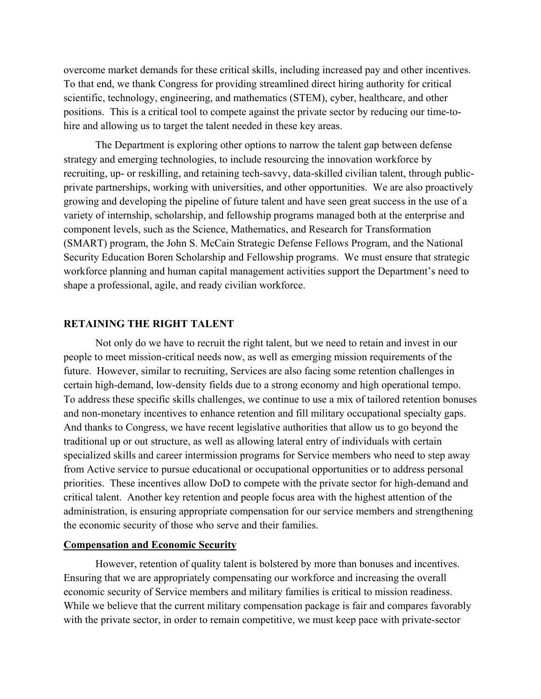overcome market demands for these critical skills, including increased pay and other incentives. To that end, we thank Congress for providing streamlined direct hiring authority for critical scientific, technology, engineering, and mathematics (STEM), cyber, healthcare, and other positions. This is a critical tool to compete against the private sector by reducing our time-tohire and allowing us to target the talent needed in these key areas.

The Department is exploring other options to narrow the talent gap between defense strategy and emerging technologies, to include resourcing the innovation workforce by recruiting, up- or reskilling, and retaining tech-savvy, data-skilled civilian talent, through publicprivate partnerships, working with universities, and other opportunities. We are also proactively growing and developing the pipeline of future talent and have seen great success in the use of a variety of internship, scholarship, and fellowship programs managed both at the enterprise and component levels, such as the Science, Mathematics, and Research for Transformation (SMART) program, the John S. McCain Strategic Defense Fellows Program, and the National Security Education Boren Scholarship and Fellowship programs. We must ensure that strategic workforce planning and human capital management activities support the Department's need to shape a professional, agile, and ready civilian workforce.

#### **RETAINING THE RIGHT TALENT**

Not only do we have to recruit the right talent, but we need to retain and invest in our people to meet mission-critical needs now, as well as emerging mission requirements of the future. However, similar to recruiting, Services are also facing some retention challenges in certain high-demand, low-density fields due to a strong economy and high operational tempo. To address these specific skills challenges, we continue to use a mix of tailored retention bonuses and non-monetary incentives to enhance retention and fill military occupational specialty gaps. And thanks to Congress, we have recent legislative authorities that allow us to go beyond the traditional up or out structure, as well as allowing lateral entry of individuals with certain specialized skills and career intermission programs for Service members who need to step away from Active service to pursue educational or occupational opportunities or to address personal priorities. These incentives allow DoD to compete with the private sector for high-demand and critical talent. Another key retention and people focus area with the highest attention of the administration, is ensuring appropriate compensation for our service members and strengthening the economic security of those who serve and their families.

### **Compensation and Economic Security**

However, retention of quality talent is bolstered by more than bonuses and incentives. Ensuring that we are appropriately compensating our workforce and increasing the overall economic security of Service members and military families is critical to mission readiness. While we believe that the current military compensation package is fair and compares favorably with the private sector, in order to remain competitive, we must keep pace with private-sector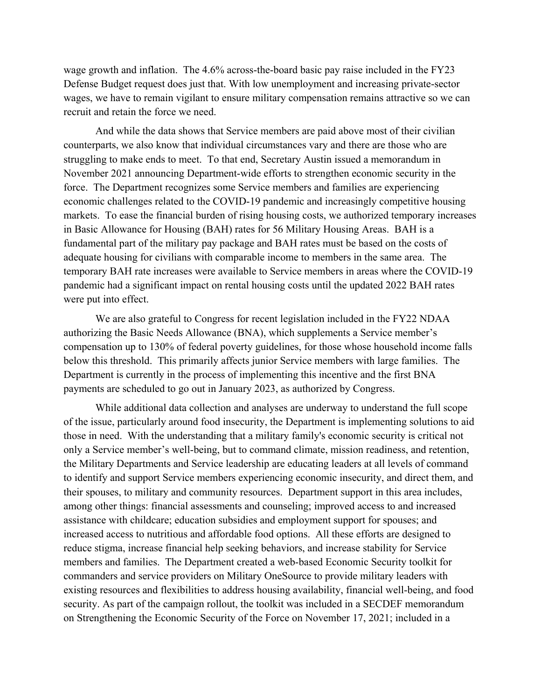wage growth and inflation. The 4.6% across-the-board basic pay raise included in the FY23 Defense Budget request does just that. With low unemployment and increasing private-sector wages, we have to remain vigilant to ensure military compensation remains attractive so we can recruit and retain the force we need.

And while the data shows that Service members are paid above most of their civilian counterparts, we also know that individual circumstances vary and there are those who are struggling to make ends to meet. To that end, Secretary Austin issued a memorandum in November 2021 announcing Department-wide efforts to strengthen economic security in the force. The Department recognizes some Service members and families are experiencing economic challenges related to the COVID-19 pandemic and increasingly competitive housing markets. To ease the financial burden of rising housing costs, we authorized temporary increases in Basic Allowance for Housing (BAH) rates for 56 Military Housing Areas. BAH is a fundamental part of the military pay package and BAH rates must be based on the costs of adequate housing for civilians with comparable income to members in the same area. The temporary BAH rate increases were available to Service members in areas where the COVID-19 pandemic had a significant impact on rental housing costs until the updated 2022 BAH rates were put into effect.

We are also grateful to Congress for recent legislation included in the FY22 NDAA authorizing the Basic Needs Allowance (BNA), which supplements a Service member's compensation up to 130% of federal poverty guidelines, for those whose household income falls below this threshold. This primarily affects junior Service members with large families. The Department is currently in the process of implementing this incentive and the first BNA payments are scheduled to go out in January 2023, as authorized by Congress.

While additional data collection and analyses are underway to understand the full scope of the issue, particularly around food insecurity, the Department is implementing solutions to aid those in need. With the understanding that a military family's economic security is critical not only a Service member's well-being, but to command climate, mission readiness, and retention, the Military Departments and Service leadership are educating leaders at all levels of command to identify and support Service members experiencing economic insecurity, and direct them, and their spouses, to military and community resources. Department support in this area includes, among other things: financial assessments and counseling; improved access to and increased assistance with childcare; education subsidies and employment support for spouses; and increased access to nutritious and affordable food options. All these efforts are designed to reduce stigma, increase financial help seeking behaviors, and increase stability for Service members and families. The Department created a web-based Economic Security toolkit for commanders and service providers on Military OneSource to provide military leaders with existing resources and flexibilities to address housing availability, financial well-being, and food security. As part of the campaign rollout, the toolkit was included in a SECDEF memorandum on Strengthening the Economic Security of the Force on November 17, 2021; included in a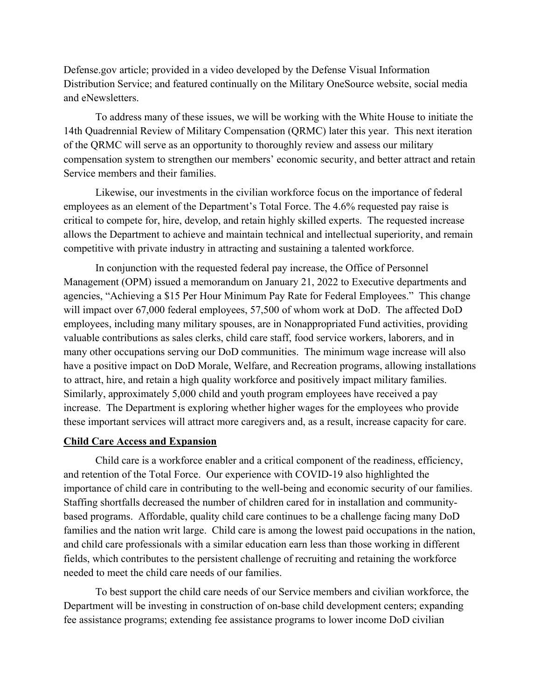Defense.gov article; provided in a video developed by the Defense Visual Information Distribution Service; and featured continually on the Military OneSource website, social media and eNewsletters.

To address many of these issues, we will be working with the White House to initiate the 14th Quadrennial Review of Military Compensation (QRMC) later this year. This next iteration of the QRMC will serve as an opportunity to thoroughly review and assess our military compensation system to strengthen our members' economic security, and better attract and retain Service members and their families.

Likewise, our investments in the civilian workforce focus on the importance of federal employees as an element of the Department's Total Force. The 4.6% requested pay raise is critical to compete for, hire, develop, and retain highly skilled experts. The requested increase allows the Department to achieve and maintain technical and intellectual superiority, and remain competitive with private industry in attracting and sustaining a talented workforce.

In conjunction with the requested federal pay increase, the Office of Personnel Management (OPM) issued a memorandum on January 21, 2022 to Executive departments and agencies, "Achieving a \$15 Per Hour Minimum Pay Rate for Federal Employees." This change will impact over 67,000 federal employees, 57,500 of whom work at DoD. The affected DoD employees, including many military spouses, are in Nonappropriated Fund activities, providing valuable contributions as sales clerks, child care staff, food service workers, laborers, and in many other occupations serving our DoD communities. The minimum wage increase will also have a positive impact on DoD Morale, Welfare, and Recreation programs, allowing installations to attract, hire, and retain a high quality workforce and positively impact military families. Similarly, approximately 5,000 child and youth program employees have received a pay increase. The Department is exploring whether higher wages for the employees who provide these important services will attract more caregivers and, as a result, increase capacity for care.

### **Child Care Access and Expansion**

Child care is a workforce enabler and a critical component of the readiness, efficiency, and retention of the Total Force. Our experience with COVID-19 also highlighted the importance of child care in contributing to the well-being and economic security of our families. Staffing shortfalls decreased the number of children cared for in installation and communitybased programs. Affordable, quality child care continues to be a challenge facing many DoD families and the nation writ large. Child care is among the lowest paid occupations in the nation, and child care professionals with a similar education earn less than those working in different fields, which contributes to the persistent challenge of recruiting and retaining the workforce needed to meet the child care needs of our families.

To best support the child care needs of our Service members and civilian workforce, the Department will be investing in construction of on-base child development centers; expanding fee assistance programs; extending fee assistance programs to lower income DoD civilian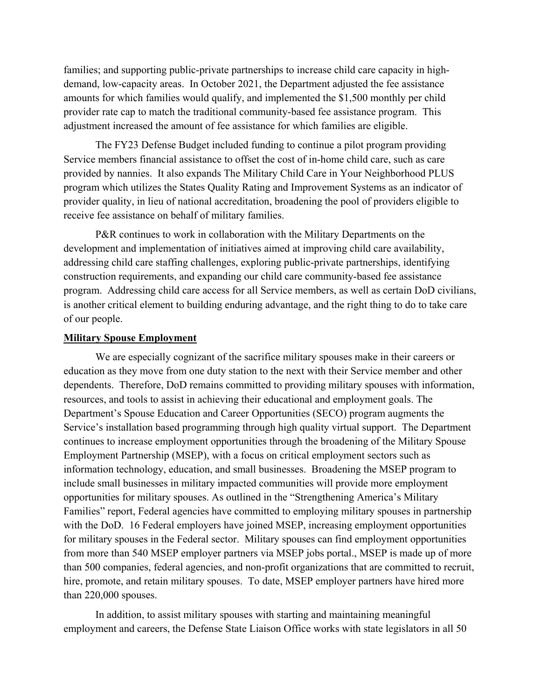families; and supporting public-private partnerships to increase child care capacity in highdemand, low-capacity areas. In October 2021, the Department adjusted the fee assistance amounts for which families would qualify, and implemented the \$1,500 monthly per child provider rate cap to match the traditional community-based fee assistance program. This adjustment increased the amount of fee assistance for which families are eligible.

The FY23 Defense Budget included funding to continue a pilot program providing Service members financial assistance to offset the cost of in-home child care, such as care provided by nannies. It also expands The Military Child Care in Your Neighborhood PLUS program which utilizes the States Quality Rating and Improvement Systems as an indicator of provider quality, in lieu of national accreditation, broadening the pool of providers eligible to receive fee assistance on behalf of military families.

P&R continues to work in collaboration with the Military Departments on the development and implementation of initiatives aimed at improving child care availability, addressing child care staffing challenges, exploring public-private partnerships, identifying construction requirements, and expanding our child care community-based fee assistance program. Addressing child care access for all Service members, as well as certain DoD civilians, is another critical element to building enduring advantage, and the right thing to do to take care of our people.

#### **Military Spouse Employment**

We are especially cognizant of the sacrifice military spouses make in their careers or education as they move from one duty station to the next with their Service member and other dependents. Therefore, DoD remains committed to providing military spouses with information, resources, and tools to assist in achieving their educational and employment goals. The Department's Spouse Education and Career Opportunities (SECO) program augments the Service's installation based programming through high quality virtual support. The Department continues to increase employment opportunities through the broadening of the Military Spouse Employment Partnership (MSEP), with a focus on critical employment sectors such as information technology, education, and small businesses. Broadening the MSEP program to include small businesses in military impacted communities will provide more employment opportunities for military spouses. As outlined in the "Strengthening America's Military Families" report, Federal agencies have committed to employing military spouses in partnership with the DoD. 16 Federal employers have joined MSEP, increasing employment opportunities for military spouses in the Federal sector. Military spouses can find employment opportunities from more than 540 MSEP employer partners via MSEP jobs portal., MSEP is made up of more than 500 companies, federal agencies, and non-profit organizations that are committed to recruit, hire, promote, and retain military spouses. To date, MSEP employer partners have hired more than 220,000 spouses.

In addition, to assist military spouses with starting and maintaining meaningful employment and careers, the Defense State Liaison Office works with state legislators in all 50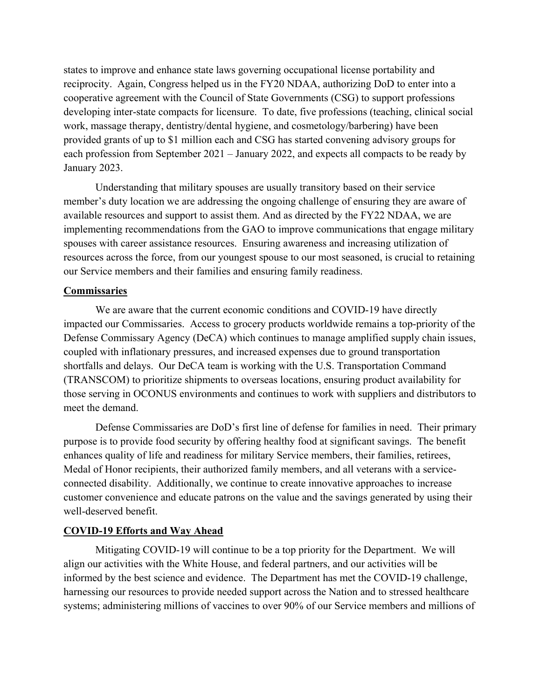states to improve and enhance state laws governing occupational license portability and reciprocity. Again, Congress helped us in the FY20 NDAA, authorizing DoD to enter into a cooperative agreement with the Council of State Governments (CSG) to support professions developing inter-state compacts for licensure. To date, five professions (teaching, clinical social work, massage therapy, dentistry/dental hygiene, and cosmetology/barbering) have been provided grants of up to \$1 million each and CSG has started convening advisory groups for each profession from September 2021 – January 2022, and expects all compacts to be ready by January 2023.

Understanding that military spouses are usually transitory based on their service member's duty location we are addressing the ongoing challenge of ensuring they are aware of available resources and support to assist them. And as directed by the FY22 NDAA, we are implementing recommendations from the GAO to improve communications that engage military spouses with career assistance resources. Ensuring awareness and increasing utilization of resources across the force, from our youngest spouse to our most seasoned, is crucial to retaining our Service members and their families and ensuring family readiness.

## **Commissaries**

We are aware that the current economic conditions and COVID-19 have directly impacted our Commissaries. Access to grocery products worldwide remains a top-priority of the Defense Commissary Agency (DeCA) which continues to manage amplified supply chain issues, coupled with inflationary pressures, and increased expenses due to ground transportation shortfalls and delays. Our DeCA team is working with the U.S. Transportation Command (TRANSCOM) to prioritize shipments to overseas locations, ensuring product availability for those serving in OCONUS environments and continues to work with suppliers and distributors to meet the demand.

Defense Commissaries are DoD's first line of defense for families in need. Their primary purpose is to provide food security by offering healthy food at significant savings. The benefit enhances quality of life and readiness for military Service members, their families, retirees, Medal of Honor recipients, their authorized family members, and all veterans with a serviceconnected disability. Additionally, we continue to create innovative approaches to increase customer convenience and educate patrons on the value and the savings generated by using their well-deserved benefit.

## **COVID-19 Efforts and Way Ahead**

Mitigating COVID-19 will continue to be a top priority for the Department. We will align our activities with the White House, and federal partners, and our activities will be informed by the best science and evidence. The Department has met the COVID-19 challenge, harnessing our resources to provide needed support across the Nation and to stressed healthcare systems; administering millions of vaccines to over 90% of our Service members and millions of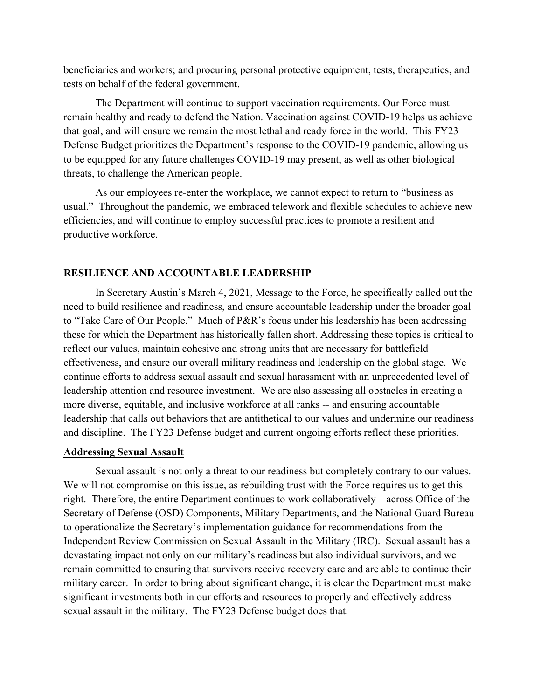beneficiaries and workers; and procuring personal protective equipment, tests, therapeutics, and tests on behalf of the federal government.

The Department will continue to support vaccination requirements. Our Force must remain healthy and ready to defend the Nation. Vaccination against COVID-19 helps us achieve that goal, and will ensure we remain the most lethal and ready force in the world. This FY23 Defense Budget prioritizes the Department's response to the COVID-19 pandemic, allowing us to be equipped for any future challenges COVID-19 may present, as well as other biological threats, to challenge the American people.

As our employees re-enter the workplace, we cannot expect to return to "business as usual." Throughout the pandemic, we embraced telework and flexible schedules to achieve new efficiencies, and will continue to employ successful practices to promote a resilient and productive workforce.

#### **RESILIENCE AND ACCOUNTABLE LEADERSHIP**

 In Secretary Austin's March 4, 2021, Message to the Force, he specifically called out the need to build resilience and readiness, and ensure accountable leadership under the broader goal to "Take Care of Our People." Much of P&R's focus under his leadership has been addressing these for which the Department has historically fallen short. Addressing these topics is critical to reflect our values, maintain cohesive and strong units that are necessary for battlefield effectiveness, and ensure our overall military readiness and leadership on the global stage. We continue efforts to address sexual assault and sexual harassment with an unprecedented level of leadership attention and resource investment. We are also assessing all obstacles in creating a more diverse, equitable, and inclusive workforce at all ranks -- and ensuring accountable leadership that calls out behaviors that are antithetical to our values and undermine our readiness and discipline. The FY23 Defense budget and current ongoing efforts reflect these priorities.

#### **Addressing Sexual Assault**

Sexual assault is not only a threat to our readiness but completely contrary to our values. We will not compromise on this issue, as rebuilding trust with the Force requires us to get this right. Therefore, the entire Department continues to work collaboratively – across Office of the Secretary of Defense (OSD) Components, Military Departments, and the National Guard Bureau to operationalize the Secretary's implementation guidance for recommendations from the Independent Review Commission on Sexual Assault in the Military (IRC). Sexual assault has a devastating impact not only on our military's readiness but also individual survivors, and we remain committed to ensuring that survivors receive recovery care and are able to continue their military career. In order to bring about significant change, it is clear the Department must make significant investments both in our efforts and resources to properly and effectively address sexual assault in the military. The FY23 Defense budget does that.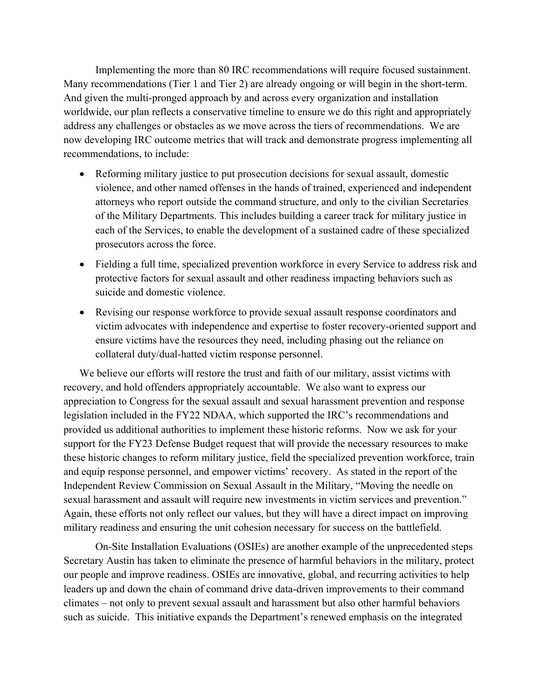Implementing the more than 80 IRC recommendations will require focused sustainment. Many recommendations (Tier 1 and Tier 2) are already ongoing or will begin in the short-term. And given the multi-pronged approach by and across every organization and installation worldwide, our plan reflects a conservative timeline to ensure we do this right and appropriately address any challenges or obstacles as we move across the tiers of recommendations. We are now developing IRC outcome metrics that will track and demonstrate progress implementing all recommendations, to include:

- Reforming military justice to put prosecution decisions for sexual assault, domestic violence, and other named offenses in the hands of trained, experienced and independent attorneys who report outside the command structure, and only to the civilian Secretaries of the Military Departments. This includes building a career track for military justice in each of the Services, to enable the development of a sustained cadre of these specialized prosecutors across the force.
- Fielding a full time, specialized prevention workforce in every Service to address risk and protective factors for sexual assault and other readiness impacting behaviors such as suicide and domestic violence.
- Revising our response workforce to provide sexual assault response coordinators and victim advocates with independence and expertise to foster recovery-oriented support and ensure victims have the resources they need, including phasing out the reliance on collateral duty/dual-hatted victim response personnel.

We believe our efforts will restore the trust and faith of our military, assist victims with recovery, and hold offenders appropriately accountable. We also want to express our appreciation to Congress for the sexual assault and sexual harassment prevention and response legislation included in the FY22 NDAA, which supported the IRC's recommendations and provided us additional authorities to implement these historic reforms. Now we ask for your support for the FY23 Defense Budget request that will provide the necessary resources to make these historic changes to reform military justice, field the specialized prevention workforce, train and equip response personnel, and empower victims' recovery. As stated in the report of the Independent Review Commission on Sexual Assault in the Military, "Moving the needle on sexual harassment and assault will require new investments in victim services and prevention." Again, these efforts not only reflect our values, but they will have a direct impact on improving military readiness and ensuring the unit cohesion necessary for success on the battlefield.

On-Site Installation Evaluations (OSIEs) are another example of the unprecedented steps Secretary Austin has taken to eliminate the presence of harmful behaviors in the military, protect our people and improve readiness. OSIEs are innovative, global, and recurring activities to help leaders up and down the chain of command drive data-driven improvements to their command climates – not only to prevent sexual assault and harassment but also other harmful behaviors such as suicide. This initiative expands the Department's renewed emphasis on the integrated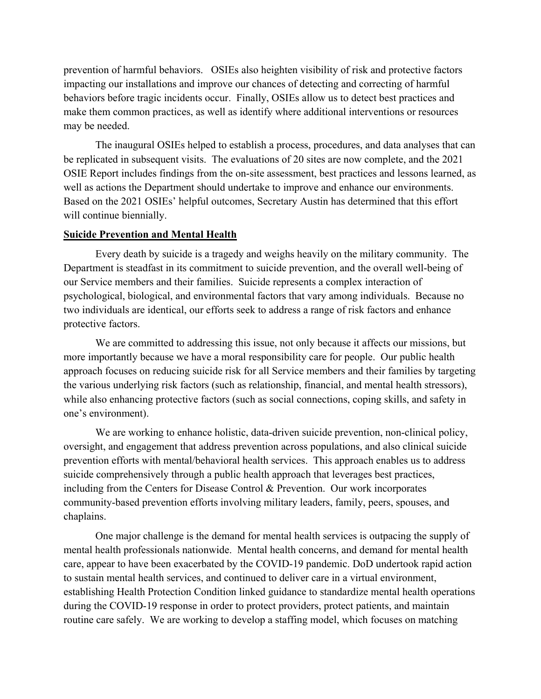prevention of harmful behaviors. OSIEs also heighten visibility of risk and protective factors impacting our installations and improve our chances of detecting and correcting of harmful behaviors before tragic incidents occur. Finally, OSIEs allow us to detect best practices and make them common practices, as well as identify where additional interventions or resources may be needed.

The inaugural OSIEs helped to establish a process, procedures, and data analyses that can be replicated in subsequent visits. The evaluations of 20 sites are now complete, and the 2021 OSIE Report includes findings from the on-site assessment, best practices and lessons learned, as well as actions the Department should undertake to improve and enhance our environments. Based on the 2021 OSIEs' helpful outcomes, Secretary Austin has determined that this effort will continue biennially.

#### **Suicide Prevention and Mental Health**

Every death by suicide is a tragedy and weighs heavily on the military community. The Department is steadfast in its commitment to suicide prevention, and the overall well-being of our Service members and their families. Suicide represents a complex interaction of psychological, biological, and environmental factors that vary among individuals. Because no two individuals are identical, our efforts seek to address a range of risk factors and enhance protective factors.

We are committed to addressing this issue, not only because it affects our missions, but more importantly because we have a moral responsibility care for people. Our public health approach focuses on reducing suicide risk for all Service members and their families by targeting the various underlying risk factors (such as relationship, financial, and mental health stressors), while also enhancing protective factors (such as social connections, coping skills, and safety in one's environment).

We are working to enhance holistic, data-driven suicide prevention, non-clinical policy, oversight, and engagement that address prevention across populations, and also clinical suicide prevention efforts with mental/behavioral health services. This approach enables us to address suicide comprehensively through a public health approach that leverages best practices, including from the Centers for Disease Control & Prevention. Our work incorporates community-based prevention efforts involving military leaders, family, peers, spouses, and chaplains.

One major challenge is the demand for mental health services is outpacing the supply of mental health professionals nationwide. Mental health concerns, and demand for mental health care, appear to have been exacerbated by the COVID-19 pandemic. DoD undertook rapid action to sustain mental health services, and continued to deliver care in a virtual environment, establishing Health Protection Condition linked guidance to standardize mental health operations during the COVID-19 response in order to protect providers, protect patients, and maintain routine care safely. We are working to develop a staffing model, which focuses on matching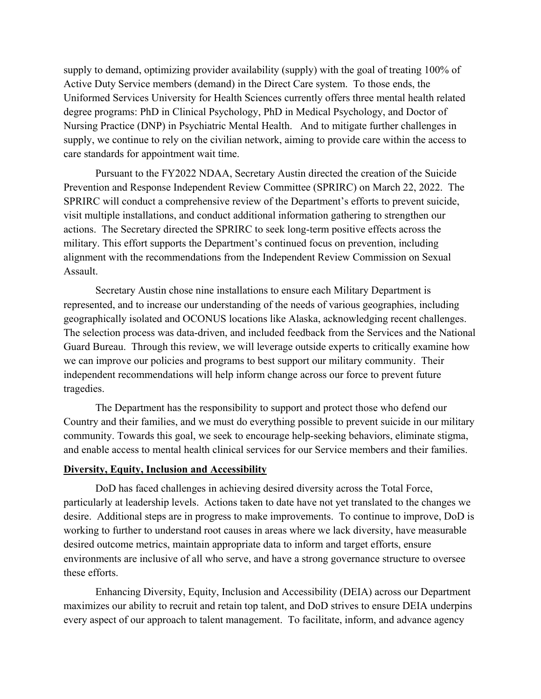supply to demand, optimizing provider availability (supply) with the goal of treating 100% of Active Duty Service members (demand) in the Direct Care system. To those ends, the Uniformed Services University for Health Sciences currently offers three mental health related degree programs: PhD in Clinical Psychology, PhD in Medical Psychology, and Doctor of Nursing Practice (DNP) in Psychiatric Mental Health. And to mitigate further challenges in supply, we continue to rely on the civilian network, aiming to provide care within the access to care standards for appointment wait time.

Pursuant to the FY2022 NDAA, Secretary Austin directed the creation of the Suicide Prevention and Response Independent Review Committee (SPRIRC) on March 22, 2022. The SPRIRC will conduct a comprehensive review of the Department's efforts to prevent suicide, visit multiple installations, and conduct additional information gathering to strengthen our actions. The Secretary directed the SPRIRC to seek long-term positive effects across the military. This effort supports the Department's continued focus on prevention, including alignment with the recommendations from the Independent Review Commission on Sexual Assault.

Secretary Austin chose nine installations to ensure each Military Department is represented, and to increase our understanding of the needs of various geographies, including geographically isolated and OCONUS locations like Alaska, acknowledging recent challenges. The selection process was data-driven, and included feedback from the Services and the National Guard Bureau. Through this review, we will leverage outside experts to critically examine how we can improve our policies and programs to best support our military community. Their independent recommendations will help inform change across our force to prevent future tragedies.

The Department has the responsibility to support and protect those who defend our Country and their families, and we must do everything possible to prevent suicide in our military community. Towards this goal, we seek to encourage help-seeking behaviors, eliminate stigma, and enable access to mental health clinical services for our Service members and their families.

#### **Diversity, Equity, Inclusion and Accessibility**

DoD has faced challenges in achieving desired diversity across the Total Force, particularly at leadership levels. Actions taken to date have not yet translated to the changes we desire. Additional steps are in progress to make improvements. To continue to improve, DoD is working to further to understand root causes in areas where we lack diversity, have measurable desired outcome metrics, maintain appropriate data to inform and target efforts, ensure environments are inclusive of all who serve, and have a strong governance structure to oversee these efforts.

Enhancing Diversity, Equity, Inclusion and Accessibility (DEIA) across our Department maximizes our ability to recruit and retain top talent, and DoD strives to ensure DEIA underpins every aspect of our approach to talent management. To facilitate, inform, and advance agency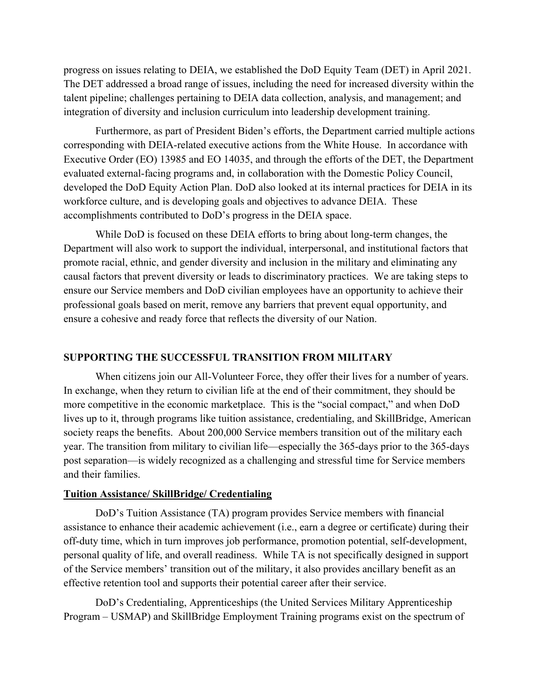progress on issues relating to DEIA, we established the DoD Equity Team (DET) in April 2021. The DET addressed a broad range of issues, including the need for increased diversity within the talent pipeline; challenges pertaining to DEIA data collection, analysis, and management; and integration of diversity and inclusion curriculum into leadership development training.

Furthermore, as part of President Biden's efforts, the Department carried multiple actions corresponding with DEIA-related executive actions from the White House. In accordance with Executive Order (EO) 13985 and EO 14035, and through the efforts of the DET, the Department evaluated external-facing programs and, in collaboration with the Domestic Policy Council, developed the DoD Equity Action Plan. DoD also looked at its internal practices for DEIA in its workforce culture, and is developing goals and objectives to advance DEIA. These accomplishments contributed to DoD's progress in the DEIA space.

While DoD is focused on these DEIA efforts to bring about long-term changes, the Department will also work to support the individual, interpersonal, and institutional factors that promote racial, ethnic, and gender diversity and inclusion in the military and eliminating any causal factors that prevent diversity or leads to discriminatory practices. We are taking steps to ensure our Service members and DoD civilian employees have an opportunity to achieve their professional goals based on merit, remove any barriers that prevent equal opportunity, and ensure a cohesive and ready force that reflects the diversity of our Nation.

## **SUPPORTING THE SUCCESSFUL TRANSITION FROM MILITARY**

When citizens join our All-Volunteer Force, they offer their lives for a number of years. In exchange, when they return to civilian life at the end of their commitment, they should be more competitive in the economic marketplace. This is the "social compact," and when DoD lives up to it, through programs like tuition assistance, credentialing, and SkillBridge, American society reaps the benefits. About 200,000 Service members transition out of the military each year. The transition from military to civilian life—especially the 365-days prior to the 365-days post separation—is widely recognized as a challenging and stressful time for Service members and their families.

#### **Tuition Assistance/ SkillBridge/ Credentialing**

DoD's Tuition Assistance (TA) program provides Service members with financial assistance to enhance their academic achievement (i.e., earn a degree or certificate) during their off-duty time, which in turn improves job performance, promotion potential, self-development, personal quality of life, and overall readiness. While TA is not specifically designed in support of the Service members' transition out of the military, it also provides ancillary benefit as an effective retention tool and supports their potential career after their service.

DoD's Credentialing, Apprenticeships (the United Services Military Apprenticeship Program – USMAP) and SkillBridge Employment Training programs exist on the spectrum of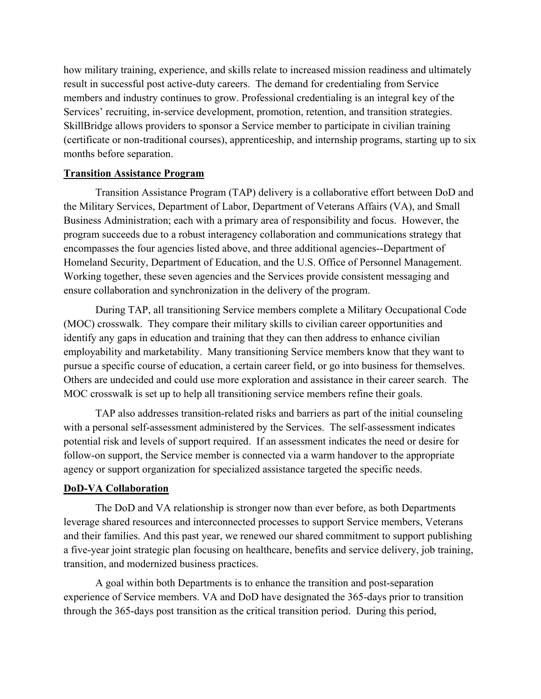how military training, experience, and skills relate to increased mission readiness and ultimately result in successful post active-duty careers. The demand for credentialing from Service members and industry continues to grow. Professional credentialing is an integral key of the Services' recruiting, in-service development, promotion, retention, and transition strategies. SkillBridge allows providers to sponsor a Service member to participate in civilian training (certificate or non-traditional courses), apprenticeship, and internship programs, starting up to six months before separation.

### **Transition Assistance Program**

Transition Assistance Program (TAP) delivery is a collaborative effort between DoD and the Military Services, Department of Labor, Department of Veterans Affairs (VA), and Small Business Administration; each with a primary area of responsibility and focus. However, the program succeeds due to a robust interagency collaboration and communications strategy that encompasses the four agencies listed above, and three additional agencies--Department of Homeland Security, Department of Education, and the U.S. Office of Personnel Management. Working together, these seven agencies and the Services provide consistent messaging and ensure collaboration and synchronization in the delivery of the program.

During TAP, all transitioning Service members complete a Military Occupational Code (MOC) crosswalk. They compare their military skills to civilian career opportunities and identify any gaps in education and training that they can then address to enhance civilian employability and marketability. Many transitioning Service members know that they want to pursue a specific course of education, a certain career field, or go into business for themselves. Others are undecided and could use more exploration and assistance in their career search. The MOC crosswalk is set up to help all transitioning service members refine their goals.

TAP also addresses transition-related risks and barriers as part of the initial counseling with a personal self-assessment administered by the Services. The self-assessment indicates potential risk and levels of support required. If an assessment indicates the need or desire for follow-on support, the Service member is connected via a warm handover to the appropriate agency or support organization for specialized assistance targeted the specific needs.

## **DoD-VA Collaboration**

The DoD and VA relationship is stronger now than ever before, as both Departments leverage shared resources and interconnected processes to support Service members, Veterans and their families. And this past year, we renewed our shared commitment to support publishing a five-year joint strategic plan focusing on healthcare, benefits and service delivery, job training, transition, and modernized business practices.

A goal within both Departments is to enhance the transition and post-separation experience of Service members. VA and DoD have designated the 365-days prior to transition through the 365-days post transition as the critical transition period. During this period,